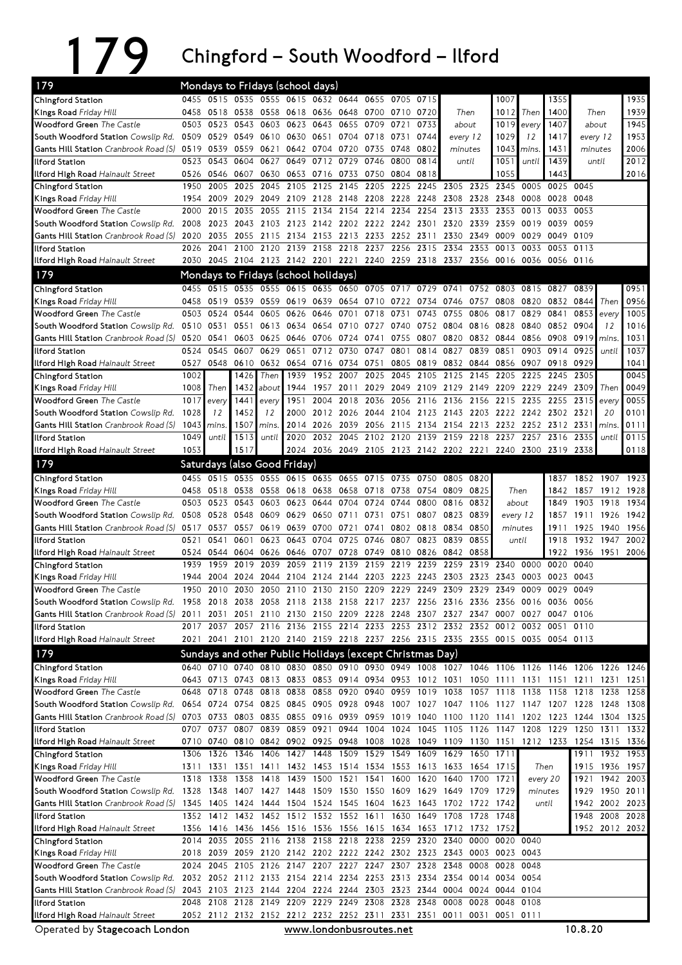## 179

– South Woodford – Ilford

| 179                                                                                                                                  |              |                     |              | Mondays to Fridays (school days)                                   |                               |                   |                               |                        |           |      |                                                                                                                                                                                        |                                                                                    |                |              |                             |           |                |              |
|--------------------------------------------------------------------------------------------------------------------------------------|--------------|---------------------|--------------|--------------------------------------------------------------------|-------------------------------|-------------------|-------------------------------|------------------------|-----------|------|----------------------------------------------------------------------------------------------------------------------------------------------------------------------------------------|------------------------------------------------------------------------------------|----------------|--------------|-----------------------------|-----------|----------------|--------------|
| Chingford Station                                                                                                                    |              |                     |              | 0455 0515 0535 0555 0615 0632 0644 0655 0705                       |                               |                   |                               |                        |           | 0715 |                                                                                                                                                                                        |                                                                                    | 1007           |              | 1355                        |           |                | 1935         |
| Kings Road Friday Hill                                                                                                               |              | 0458 0518           | 0538         | 0558                                                               | 0618 0636 0648                |                   |                               | 0700 0710              |           | 0720 | Then                                                                                                                                                                                   |                                                                                    | 1012           | Then         | 1400                        | Then      |                | 1939         |
| <b>Woodford Green</b> The Castle                                                                                                     | 0503         | 0523                | 0543         | 0603                                                               | 0623                          | 0643              | 0655                          | 0709                   | 0721      | 0733 | about                                                                                                                                                                                  |                                                                                    | 1019           | every        | 1407                        | about     |                | 1945         |
| South Woodford Station Cowslip Rd.                                                                                                   |              |                     |              | 0509 0529 0549 0610 0630 0651                                      |                               |                   |                               | 0704 0718 0731         |           | 0744 | every 12                                                                                                                                                                               |                                                                                    | 1029           | 12           | 1417                        | every 12  |                | 1953         |
| Gants Hill Station Cranbrook Road (S)                                                                                                | 0519         | 0539                | 0559         | 0621                                                               |                               | 0642 0704         | 0720                          | 0735                   | 0748      | 0802 | minutes                                                                                                                                                                                |                                                                                    | 1043           | mins.        | 1431                        | minutes   |                | 2006         |
| <b>Ilford Station</b>                                                                                                                |              | 0523 0543 0604      |              | 0627                                                               |                               | 0649 0712 0729    |                               | 0746 0800              |           | 0814 | until                                                                                                                                                                                  |                                                                                    | 1051           | until        | 1439                        |           | until          | 2012         |
| Ilford High Road Hainault Street                                                                                                     |              | 0526 0546           | 0607         | 0630                                                               |                               | 0653 0716 0733    |                               | 0750 0804              |           | 0818 |                                                                                                                                                                                        |                                                                                    | 1055           |              | 1443                        |           |                | 2016         |
| Chingford Station                                                                                                                    | 1950         | 2005<br>2009        | 2025<br>2029 | 2045                                                               | 2105                          | 2125              | 2145                          | 2205                   | 2225      | 2245 | 2305<br>2308 2328                                                                                                                                                                      | 2325                                                                               | 2345<br>2348   | 0005<br>0008 | 0025 0045<br>0028 0048      |           |                |              |
| Kings Road Friday Hill<br><b>Woodford Green</b> The Castle                                                                           | 1954<br>2000 | 2015                | 2035         | 2055                                                               | 2049 2109 2128 2148<br>2115   | 2134              | 2154                          | 2208 2228 2248<br>2214 | 2234      | 2254 | 2313                                                                                                                                                                                   | 2333                                                                               | 2353           | 0013         | 0033                        | 0053      |                |              |
| South Woodford Station Cowslip Rd.                                                                                                   | 2008         | 2023                | 2043         | 2103                                                               |                               |                   | 2123 2142 2202 2222 2242 2301 |                        |           |      | 2320                                                                                                                                                                                   | 2339                                                                               | 2359           | 0019         | 0039 0059                   |           |                |              |
| Gants Hill Station Cranbrook Road (S)                                                                                                | 2020         | 2035                | 2055         | 2115                                                               |                               | 2134 2153         | 2213                          | 2233 2252 2311         |           |      | 2330                                                                                                                                                                                   | 2349                                                                               | 0009           | 0029         | 0049 0109                   |           |                |              |
| Ilford Station                                                                                                                       | 2026         | 2041                | 2100         | 2120                                                               |                               | 2139 2158         | 2218                          | 2237                   | 2256      | 2315 | 2334                                                                                                                                                                                   | 2353                                                                               | 0013           | 0033         | 0053 0113                   |           |                |              |
| Ilford High Road Hainault Street                                                                                                     |              |                     |              |                                                                    |                               |                   |                               |                        |           |      | 2030 2045 2104 2123 2142 2201 2221 2240 2259 2318 2337 2356 0016 0036                                                                                                                  |                                                                                    |                |              | 0056 0116                   |           |                |              |
| 179                                                                                                                                  |              |                     |              | Mondays to Fridays (school holidays)                               |                               |                   |                               |                        |           |      |                                                                                                                                                                                        |                                                                                    |                |              |                             |           |                |              |
| Chingford Station                                                                                                                    |              |                     |              | 0455 0515 0535 0555 0615 0635 0650 0705 0717                       |                               |                   |                               |                        |           | 0729 | 0741                                                                                                                                                                                   | 0752                                                                               | 0803           | 0815         | 0827                        | 0839      |                | 0951         |
| Kings Road Friday Hill                                                                                                               | 0458         |                     | 0519 0539    | 0559                                                               | 0619 0639 0654 0710 0722 0734 |                   |                               |                        |           |      | 0746                                                                                                                                                                                   | 0757                                                                               | 0808           | 0820         |                             | 0832 0844 | Then           | 0956         |
| <b>Woodford Green</b> The Castle                                                                                                     | 0503         | 0524                | 0544         | 0605                                                               | 0626                          | 0646              | 0701                          | 0718                   | 0731      | 0743 | 0755                                                                                                                                                                                   | 0806                                                                               | 0817           | 0829         | 0841                        | 0853      | every          | 1005         |
| South Woodford Station Cowslip Rd.                                                                                                   |              | 0510 0531           | 0551         | 0613                                                               | 0634 0654                     |                   |                               | 0710 0727 0740         |           |      | 0752 0804                                                                                                                                                                              | 0816 0828                                                                          |                | 0840         | 0852 0904                   |           | 12             | 1016         |
| Gants Hill Station Cranbrook Road (S)                                                                                                | 0520         | 0541                | 0603         | 0625                                                               | 0646                          | 0706              | 0724                          | 0741                   | 0755      |      | 0807 0820                                                                                                                                                                              | 0832 0844                                                                          |                | 0856         | 0908                        | 0919      | <i>mins</i>    | 1031         |
| <b>Ilford Station</b>                                                                                                                | 0524         | 0545                | 0607         | 0629                                                               | 0651                          | 0712              | 0730                          | 0747                   | 0801      | 0814 | 0827                                                                                                                                                                                   | 0839                                                                               | 0851           | 0903         | 0914                        | 0925      | until          | 1037         |
| Ilford High Road Hainault Street                                                                                                     |              | 0527 0548           | 0610         | 0632                                                               |                               |                   | 0654 0716 0734 0751           |                        |           |      | 0805 0819 0832 0844                                                                                                                                                                    |                                                                                    | 0856           | 0907         | 0918 0929                   |           |                | 1041         |
| Chingford Station                                                                                                                    | 1002         |                     | 1426         | Then                                                               | 1939                          | 1952              | 2007                          | 2025                   | 2045      | 2105 | 2125                                                                                                                                                                                   | 2145                                                                               | 2205           | 2225         | 2245                        | 2305      |                | 0045         |
| Kings Road Friday Hill                                                                                                               | 1008         | Then                | 1432         | about                                                              | 1944                          | 1957              | 2011                          |                        | 2029 2049 |      | 2109 2129 2149 2209                                                                                                                                                                    |                                                                                    |                | 2229         | 2249                        | 2309      | Then           | 0049         |
| <b>Woodford Green</b> The Castle                                                                                                     | 1017         | every               | 1441         | every                                                              | 1951                          | 2004              | 2018                          | 2036 2056              |           |      | 2116 2136 2156 2215                                                                                                                                                                    |                                                                                    |                | 2235         | 2255                        | 2315      | every          | 0055         |
| South Woodford Station Cowslip Rd.                                                                                                   | 1028         | 12                  | 1452         | 12                                                                 |                               | 2000 2012 2026    |                               |                        |           |      | 2044 2104 2123 2143 2203 2222 2242 2302 2321                                                                                                                                           |                                                                                    |                |              |                             |           | 20             | 0101         |
| <b>Gants Hill Station</b> Cranbrook Road (S)<br><b>Ilford Station</b>                                                                | 1043<br>1049 | mins.<br>until      | 1507<br>1513 | mins.<br>until                                                     | 2020                          | 2014 2026<br>2032 | 2039<br>2045                  | 2056 2115<br>2102 2120 |           | 2139 | 2134 2154 2213<br>2159                                                                                                                                                                 | 2218                                                                               | 2237           | 2257         | 2232 2252 2312 2331<br>2316 | 2335      | mins<br>until  | 0111<br>0115 |
| Ilford High Road Hainault Street                                                                                                     | 1053         |                     | 1517         |                                                                    |                               |                   |                               |                        |           |      | 2024 2036 2049 2105 2123 2142 2202 2221 2240 2300                                                                                                                                      |                                                                                    |                |              | 2319 2338                   |           |                | 0118         |
| 179                                                                                                                                  |              |                     |              |                                                                    |                               |                   |                               |                        |           |      |                                                                                                                                                                                        |                                                                                    |                |              |                             |           |                |              |
|                                                                                                                                      |              | 0455 0515           |              | Saturdays (also Good Friday)<br>0535 0555 0615 0635 0655 0715 0735 |                               |                   |                               |                        |           | 0750 | 0805                                                                                                                                                                                   | 0820                                                                               |                |              | 1837                        | 1852      | 1907           | 1923         |
| Chingford Station<br>Kings Road Friday Hill                                                                                          |              | 0458 0518           | 0538         | 0558                                                               |                               | 0618 0638         | 0658                          | 0718 0738              |           | 0754 | 0809                                                                                                                                                                                   | 0825                                                                               |                | Then         | 1842                        | 1857      | 1912           | 1928         |
| <b>Woodford Green</b> The Castle                                                                                                     | 0503         | 0523                | 0543         | 0603                                                               | 0623                          | 0644              | 0704                          | 0724                   | 0744      | 0800 | 0816                                                                                                                                                                                   | 0832                                                                               |                | about        | 1849                        | 1903      | 1918           | 1934         |
| South Woodford Station Cowslip Rd.                                                                                                   | 0508         | 0528                | 0548         | 0609                                                               | 0629                          | 0650 0711         |                               | 0731                   | 0751      |      | 0807 0823 0839                                                                                                                                                                         |                                                                                    | every 12       |              | 1857                        | 1911      | 1926           | 1942         |
| <b>Gants Hill Station</b> Cranbrook Road (S)                                                                                         |              | 0517 0537           | 0557         | 0619                                                               |                               | 0639 0700 0721    |                               | 0741                   | 0802      | 0818 | 0834                                                                                                                                                                                   | 0850                                                                               | minutes        |              | 1911                        | 1925      | 1940           | 1956         |
| <b>Ilford Station</b>                                                                                                                | 0521         | 0541                | 0601         | 0623                                                               |                               | 0643 0704         | 0725                          | 0746                   | 0807      | 0823 | 0839                                                                                                                                                                                   | 0855                                                                               | until          |              | 1918                        | 1932      | 1947           | 2002         |
| Ilford High Road Hainault Street                                                                                                     |              | 0524 0544 0604      |              | 0626                                                               | 0646 0707                     |                   | 0728                          | 0749                   | 0810 0826 |      | 0842                                                                                                                                                                                   | 0858                                                                               |                |              | 1922                        | 1936      | 1951           | 2006         |
| Chingford Station                                                                                                                    | 1939         | 1959                | 2019         | 2039                                                               | 2059                          | 2119              | 2139                          | 2159                   | 2219      | 2239 | 2259                                                                                                                                                                                   | 2319                                                                               | 2340           | 0000         | 0020                        | 0040      |                |              |
| Kings Road Friday Hill                                                                                                               | 1944         | 2004                | 2024         |                                                                    |                               |                   |                               |                        |           |      | 2044 2104 2124 2144 2203 2223 2243 2303 2323 2343                                                                                                                                      |                                                                                    |                | 0003         | 0023 0043                   |           |                |              |
| <b>Woodford Green</b> The Castle                                                                                                     | 1950         | 2010                | 2030         |                                                                    | 2050 2110 2130 2150 2209 2229 |                   |                               |                        |           | 2249 | 2309                                                                                                                                                                                   | 2329                                                                               | 2349           | 0009         | 0029                        | 0049      |                |              |
| South Woodford Station Cowslip Rd. 1958 2018 2038 2058 2118 2138 2158 2217 2237 2256 2316 2336 2356 0016 0036 0056                   |              |                     |              |                                                                    |                               |                   |                               |                        |           |      |                                                                                                                                                                                        |                                                                                    |                |              |                             |           |                |              |
| Gants Hill Station Cranbrook Road (S) 2011 2031 2051 2110 2130 2150 2209 2228 2248                                                   |              |                     |              |                                                                    |                               |                   |                               |                        |           |      | 2307 2327 2347                                                                                                                                                                         |                                                                                    |                |              | 0007 0027 0047 0106         |           |                |              |
| Ilford Station                                                                                                                       |              |                     |              |                                                                    |                               |                   |                               |                        |           |      | 2017 2037 2057 2116 2136 2155 2214 2233 2253 2312 2332 2352 0012 0032 0051 0110                                                                                                        |                                                                                    |                |              |                             |           |                |              |
| Ilford High Road Hainault Street                                                                                                     | 2021         |                     |              |                                                                    |                               |                   |                               |                        |           |      | 2041 2101 2120 2140 2159 2218 2237 2256 2315 2335 2355 0015 0035 0054 0113                                                                                                             |                                                                                    |                |              |                             |           |                |              |
| 179                                                                                                                                  |              |                     |              | Sundays and other Public Holidays (except Christmas Day)           |                               |                   |                               |                        |           |      |                                                                                                                                                                                        |                                                                                    |                |              |                             |           |                |              |
| Chingford Station                                                                                                                    |              |                     |              |                                                                    |                               |                   |                               |                        |           |      | 0640 0710 0740 0810 0830 0850 0910 0930 0949 1008 1027 1046 1106 1126 1146 1206 1226 1246<br>0643 0713 0743 0813 0833 0853 0914 0934 0953 1012 1031 1050 1111 1131 1151 1211 1231 1251 |                                                                                    |                |              |                             |           |                |              |
| Kings Road Friday Hill<br><b>Woodford Green The Castle</b>                                                                           |              | 0648 0718 0748 0818 |              |                                                                    |                               |                   |                               |                        |           |      | 0838 0858 0920 0940 0959 1019 1038 1057 1118 1138 1158 1218                                                                                                                            |                                                                                    |                |              |                             |           | 1238 1258      |              |
| South Woodford Station Cowslip Rd.                                                                                                   |              |                     |              |                                                                    |                               |                   |                               |                        |           |      | 0654 0724 0754 0825 0845 0905 0928 0948 1007 1027 1047 1106 1127 1147 1207 1228                                                                                                        |                                                                                    |                |              |                             |           | 1248           | 1308         |
| Gants Hill Station Cranbrook Road (S)                                                                                                |              | 0703 0733 0803 0835 |              |                                                                    |                               |                   |                               |                        |           |      | 0855 0916 0939 0959 1019 1040 1100 1120 1141 1202 1223 1244                                                                                                                            |                                                                                    |                |              |                             |           | 1304           | 1325         |
| Ilford Station                                                                                                                       |              | 0707 0737           | 0807         |                                                                    | 0839 0859 0921 0944           |                   |                               | 1004                   | 1024      |      | 1045 1105 1126 1147 1208                                                                                                                                                               |                                                                                    |                |              | 1229 1250                   |           | 1311           | 1332         |
| Ilford High Road Hainault Street                                                                                                     |              |                     |              |                                                                    |                               |                   |                               |                        |           |      | 0710 0740 0810 0842 0902 0925 0948 1008 1028 1049 1109 1130 1151 1212 1233 1254 1315 1336                                                                                              |                                                                                    |                |              |                             |           |                |              |
| Chingford Station                                                                                                                    |              | 1306 1326 1346      |              |                                                                    |                               |                   |                               |                        |           |      | 1406 1427 1448 1509 1529 1549 1609 1629 1650 1711                                                                                                                                      |                                                                                    |                |              |                             | 1911      | 1932 1953      |              |
| Kings Road Friday Hill                                                                                                               |              | 1311 1331           |              | 1351 1411                                                          |                               |                   |                               |                        |           |      | 1432 1453 1514 1534 1553 1613 1633 1654 1715                                                                                                                                           |                                                                                    |                |              | Then                        |           | 1915 1936 1957 |              |
| Woodford Green The Castle                                                                                                            |              | 1318 1338           | 1358         | 1418                                                               |                               |                   |                               |                        |           |      | 1439 1500 1521 1541 1600 1620 1640 1700 1721                                                                                                                                           |                                                                                    |                |              | every 20                    |           | 1921 1942 2003 |              |
| South Woodford Station Cowslip Rd.                                                                                                   | 1328 1348    |                     |              |                                                                    |                               |                   |                               |                        |           |      | 1407 1427 1448 1509 1530 1550 1609 1629 1649 1709 1729                                                                                                                                 |                                                                                    |                |              | minutes                     | 1929      | 1950 2011      |              |
| <b>Gants Hill Station</b> Cranbrook Road (S)                                                                                         |              |                     |              |                                                                    |                               |                   |                               |                        |           |      | 1345 1405 1424 1444 1504 1524 1545 1604 1623 1643 1702 1722 1742                                                                                                                       |                                                                                    |                |              | until                       | 1942      | 2002 2023      |              |
| <b>Ilford Station</b>                                                                                                                |              |                     |              |                                                                    |                               |                   |                               |                        |           |      | 1352 1412 1432 1452 1512 1532 1552 1611 1630 1649 1708 1728 1748                                                                                                                       |                                                                                    |                |              |                             | 1948      | 2008 2028      |              |
| Ilford High Road Hainault Street                                                                                                     |              |                     |              |                                                                    |                               |                   |                               |                        |           |      | 1356 1416 1436 1456 1516 1536 1556 1615 1634 1653 1712 1732 1752                                                                                                                       |                                                                                    |                |              |                             |           | 1952 2012 2032 |              |
| Chingford Station                                                                                                                    |              |                     |              | 2014 2035 2055 2116 2138 2158 2218 2238 2259 2320 2340             |                               |                   |                               |                        |           |      |                                                                                                                                                                                        |                                                                                    | 0000 0020 0040 |              |                             |           |                |              |
| Kings Road Friday Hill                                                                                                               | 2018         |                     |              |                                                                    |                               |                   |                               |                        |           |      | 2039 2059 2120 2142 2202 2222 2242 2302 2323 2343 0003 0023 0043                                                                                                                       |                                                                                    |                |              |                             |           |                |              |
| Woodford Green The Castle                                                                                                            |              |                     |              | 2024 2045 2105 2126 2147 2207 2227 2247 2307 2328 2348             |                               |                   |                               |                        |           |      |                                                                                                                                                                                        | 0008 0028<br>2032 2052 2112 2133 2154 2214 2234 2253 2313 2334 2354 0014 0034 0054 |                | 0048         |                             |           |                |              |
|                                                                                                                                      |              |                     |              |                                                                    |                               |                   |                               |                        |           |      |                                                                                                                                                                                        |                                                                                    |                |              |                             |           |                |              |
| South Woodford Station Cowslip Rd.                                                                                                   |              |                     |              |                                                                    |                               |                   |                               |                        |           |      |                                                                                                                                                                                        |                                                                                    |                |              |                             |           |                |              |
| Gants Hill Station Cranbrook Road (S) 2043 2103 2123 2144 2204 2224 2244 2303 2323 2344 0004 0024 0044 0104<br><b>Ilford Station</b> |              |                     |              | 2048 2108 2128 2149 2209 2229 2249 2308 2328 2348                  |                               |                   |                               |                        |           |      | 0008 0028 0048                                                                                                                                                                         |                                                                                    |                | 0108         |                             |           |                |              |

Operated by Stagecoach London www.londonbusroutes.net 10.8.20